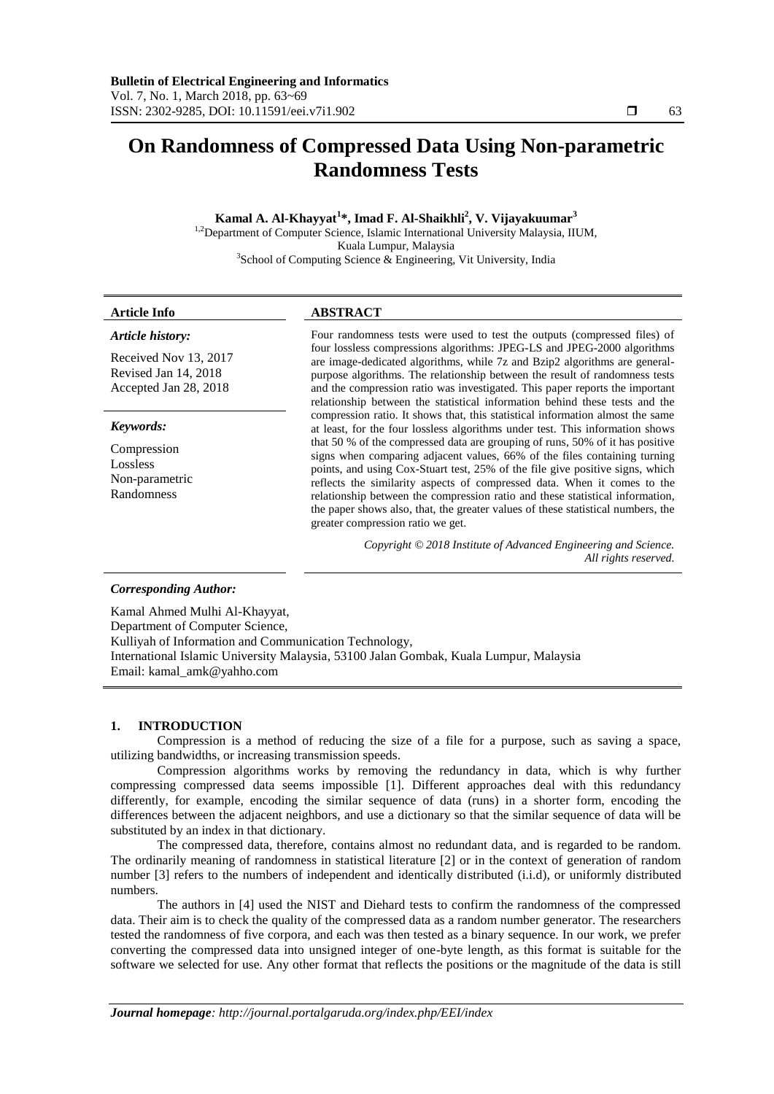# **On Randomness of Compressed Data Using Non-parametric Randomness Tests**

**Kamal A. Al-Khayyat<sup>1</sup> \*, Imad F. Al-Shaikhli<sup>2</sup> , V. Vijayakuumar<sup>3</sup>**

<sup>1,2</sup>Department of Computer Science, Islamic International University Malaysia, IIUM, Kuala Lumpur, Malaysia 3 School of Computing Science & Engineering, Vit University, India

# **Article Info ABSTRACT**

#### *Article history:*

Received Nov 13, 2017 Revised Jan 14, 2018 Accepted Jan 28, 2018

## *Keywords:*

Compression Lossless Non-parametric Randomness

Four randomness tests were used to test the outputs (compressed files) of four lossless compressions algorithms: JPEG-LS and JPEG-2000 algorithms are image-dedicated algorithms, while 7z and Bzip2 algorithms are generalpurpose algorithms. The relationship between the result of randomness tests and the compression ratio was investigated. This paper reports the important relationship between the statistical information behind these tests and the compression ratio. It shows that, this statistical information almost the same at least, for the four lossless algorithms under test. This information shows that 50 % of the compressed data are grouping of runs, 50% of it has positive signs when comparing adjacent values, 66% of the files containing turning points, and using Cox-Stuart test, 25% of the file give positive signs, which reflects the similarity aspects of compressed data. When it comes to the relationship between the compression ratio and these statistical information, the paper shows also, that, the greater values of these statistical numbers, the greater compression ratio we get.

> *Copyright © 2018 Institute of Advanced Engineering and Science. All rights reserved.*

# *Corresponding Author:*

Kamal Ahmed Mulhi Al-Khayyat, Department of Computer Science, Kulliyah of Information and Communication Technology, International Islamic University Malaysia, 53100 Jalan Gombak, Kuala Lumpur, Malaysia Email: kamal\_amk@yahho.com

#### **1. INTRODUCTION**

Compression is a method of reducing the size of a file for a purpose, such as saving a space, utilizing bandwidths, or increasing transmission speeds.

Compression algorithms works by removing the redundancy in data, which is why further compressing compressed data seems impossible [1]. Different approaches deal with this redundancy differently, for example, encoding the similar sequence of data (runs) in a shorter form, encoding the differences between the adjacent neighbors, and use a dictionary so that the similar sequence of data will be substituted by an index in that dictionary.

The compressed data, therefore, contains almost no redundant data, and is regarded to be random. The ordinarily meaning of randomness in statistical literature [2] or in the context of generation of random number [3] refers to the numbers of independent and identically distributed (i.i.d), or uniformly distributed numbers.

The authors in [4] used the NIST and Diehard tests to confirm the randomness of the compressed data. Their aim is to check the quality of the compressed data as a random number generator. The researchers tested the randomness of five corpora, and each was then tested as a binary sequence. In our work, we prefer converting the compressed data into unsigned integer of one-byte length, as this format is suitable for the software we selected for use. Any other format that reflects the positions or the magnitude of the data is still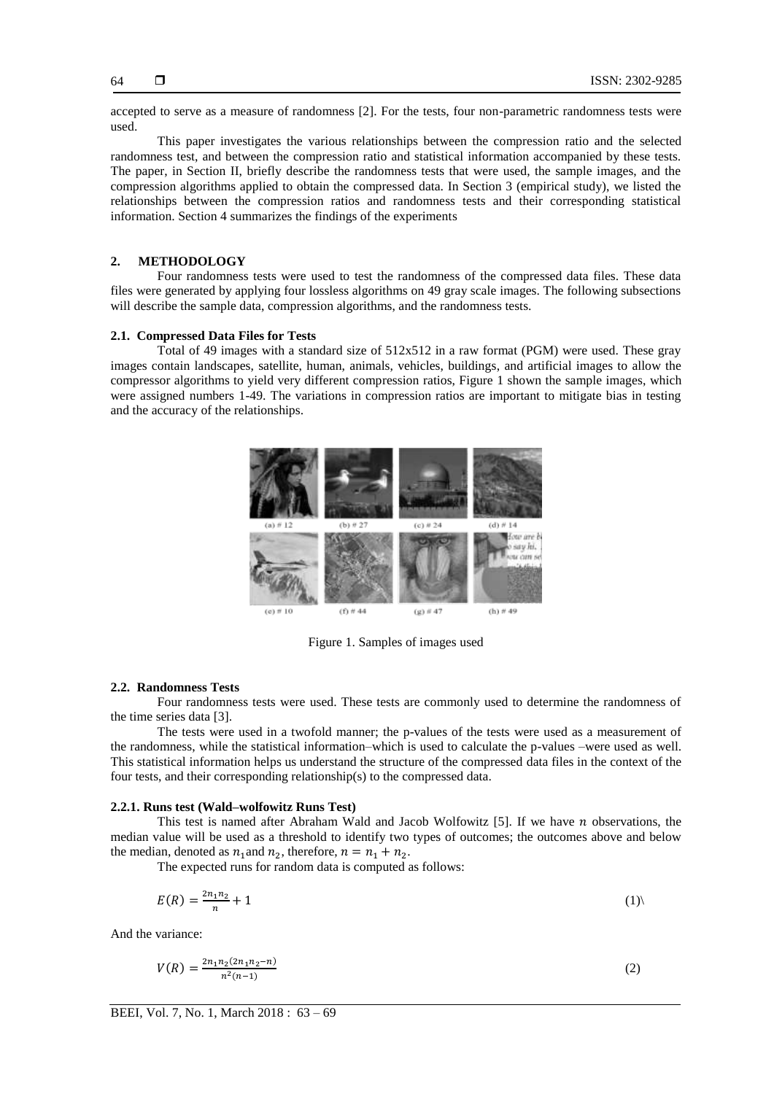accepted to serve as a measure of randomness [2]. For the tests, four non-parametric randomness tests were used.

This paper investigates the various relationships between the compression ratio and the selected randomness test, and between the compression ratio and statistical information accompanied by these tests. The paper, in Section II, briefly describe the randomness tests that were used, the sample images, and the compression algorithms applied to obtain the compressed data. In Section 3 (empirical study), we listed the relationships between the compression ratios and randomness tests and their corresponding statistical information. Section 4 summarizes the findings of the experiments

# **2. METHODOLOGY**

Four randomness tests were used to test the randomness of the compressed data files. These data files were generated by applying four lossless algorithms on 49 gray scale images. The following subsections will describe the sample data, compression algorithms, and the randomness tests.

# **2.1. Compressed Data Files for Tests**

Total of 49 images with a standard size of 512x512 in a raw format (PGM) were used. These gray images contain landscapes, satellite, human, animals, vehicles, buildings, and artificial images to allow the compressor algorithms to yield very different compression ratios, Figure 1 shown the sample images, which were assigned numbers 1-49. The variations in compression ratios are important to mitigate bias in testing and the accuracy of the relationships.



Figure 1. Samples of images used

#### **2.2. Randomness Tests**

Four randomness tests were used. These tests are commonly used to determine the randomness of the time series data [3].

The tests were used in a twofold manner; the p-values of the tests were used as a measurement of the randomness, while the statistical information–which is used to calculate the p-values –were used as well. This statistical information helps us understand the structure of the compressed data files in the context of the four tests, and their corresponding relationship(s) to the compressed data.

# **2.2.1. Runs test (Wald–wolfowitz Runs Test)**

This test is named after [Abraham Wald](https://en.wikipedia.org/wiki/Abraham_Wald) and [Jacob Wolfowitz](https://en.wikipedia.org/wiki/Jacob_Wolfowitz)  $[5]$ . If we have *n* observations, the median value will be used as a threshold to identify two types of outcomes; the outcomes above and below the median, denoted as  $n_1$  and  $n_2$ , therefore,  $n = n_1 + n_2$ .

The expected runs for random data is computed as follows:

$$
E(R) = \frac{2n_1n_2}{n} + 1\tag{1}
$$

And the variance:

$$
V(R) = \frac{2n_1n_2(2n_1n_2 - n)}{n^2(n-1)}
$$
 (2)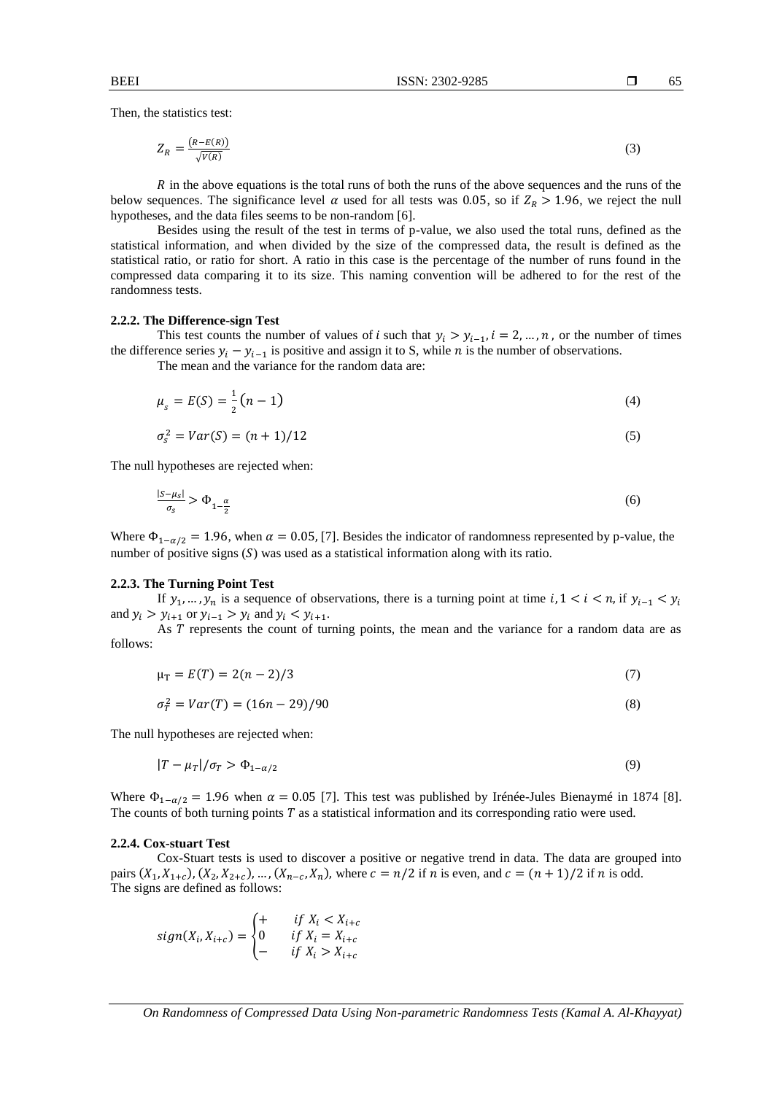Then, the statistics test:

$$
Z_R = \frac{(R - E(R))}{\sqrt{V(R)}}\tag{3}
$$

 $\overline{R}$  in the above equations is the total runs of both the runs of the above sequences and the runs of the below sequences. The significance level  $\alpha$  used for all tests was 0.05, so if  $Z_R > 1.96$ , we reject the null hypotheses, and the data files seems to be non-random [6].

Besides using the result of the test in terms of p-value, we also used the total runs, defined as the statistical information, and when divided by the size of the compressed data, the result is defined as the statistical ratio, or ratio for short. A ratio in this case is the percentage of the number of runs found in the compressed data comparing it to its size. This naming convention will be adhered to for the rest of the randomness tests.

## **2.2.2. The Difference-sign Test**

This test counts the number of values of *i* such that  $y_i > y_{i-1}$ ,  $i = 2, ..., n$ , or the number of times the difference series  $y_i - y_{i-1}$  is positive and assign it to S, while *n* is the number of observations.

The mean and the variance for the random data are:

$$
\mu_{s} = E(S) = \frac{1}{2}(n-1) \tag{4}
$$

$$
\sigma_s^2 = Var(S) = (n+1)/12\tag{5}
$$

The null hypotheses are rejected when:

$$
\frac{|S - \mu_S|}{\sigma_S} > \Phi_{1 - \frac{\alpha}{2}} \tag{6}
$$

Where  $\Phi_{1-\alpha/2} = 1.96$ , when  $\alpha = 0.05$ , [7]. Besides the indicator of randomness represented by p-value, the number of positive signs  $(S)$  was used as a statistical information along with its ratio.

#### **2.2.3. The Turning Point Test**

If  $y_1, ..., y_n$  is a sequence of observations, there is a turning point at time  $i, 1 \le i \le n$ , if  $y_{i-1} \le y_i$ and  $y_i > y_{i+1}$  or  $y_{i-1} > y_i$  and  $y_i < y_{i+1}$ .

As  $T$  represents the count of turning points, the mean and the variance for a random data are as follows:

$$
\mu_T = E(T) = 2(n-2)/3 \tag{7}
$$

$$
\sigma_T^2 = Var(T) = (16n - 29)/90\tag{8}
$$

The null hypotheses are rejected when:

$$
|T - \mu_T| / \sigma_T > \Phi_{1 - \alpha/2}
$$
\n<sup>(9)</sup>

Where  $\Phi_{1-\alpha/2} = 1.96$  when  $\alpha = 0.05$  [7]. This test was published by [Irénée-Jules Bienaymé](https://en.wikipedia.org/wiki/Ir%C3%A9n%C3%A9e-Jules_Bienaym%C3%A9) in 1874 [8]. The counts of both turning points  $T$  as a statistical information and its corresponding ratio were used.

#### **2.2.4. Cox-stuart Test**

Cox-Stuart tests is used to discover a positive or negative trend in data. The data are grouped into pairs  $(X_1, X_{1+c})$ ,  $(X_2, X_{2+c})$ , ...,  $(X_{n-c}, X_n)$ , where  $c = n/2$  if *n* is even, and  $c = (n + 1)/2$  if *n* is odd. The signs are defined as follows:

$$
sign(X_i, X_{i+c}) = \begin{cases} + & \text{if } X_i < X_{i+c} \\ 0 & \text{if } X_i = X_{i+c} \\ - & \text{if } X_i > X_{i+c} \end{cases}
$$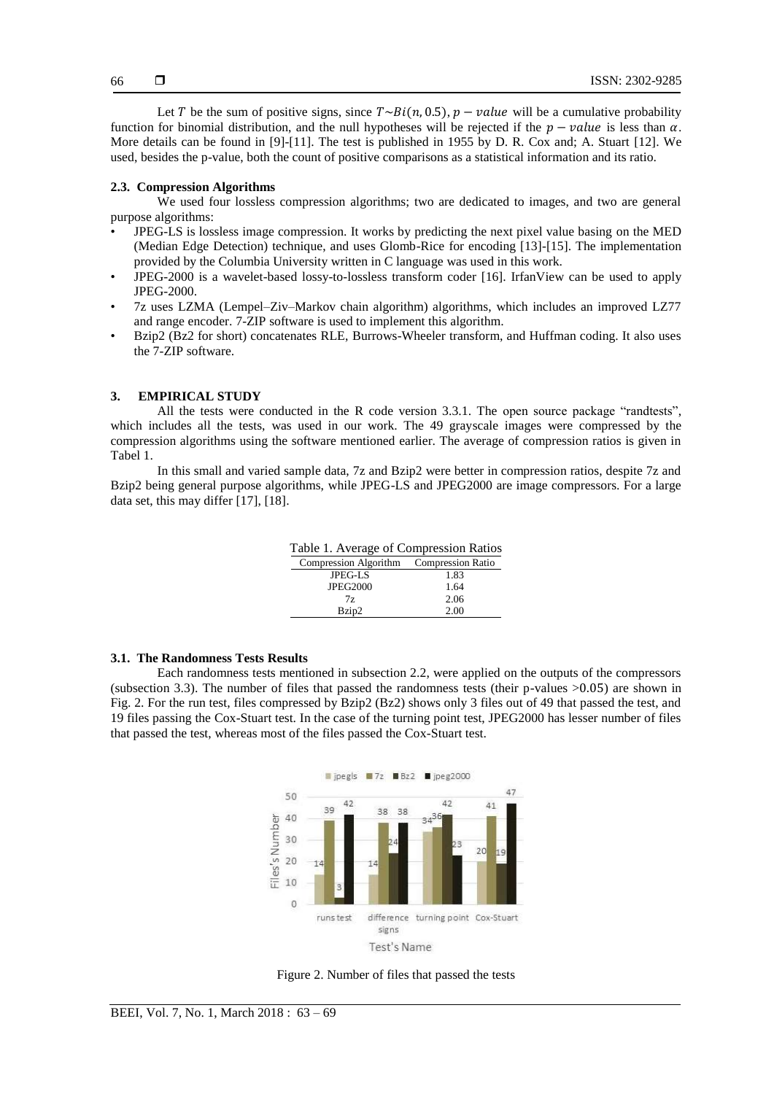Let T be the sum of positive signs, since  $T \sim Bi(n, 0.5)$ ,  $p - value$  will be a cumulative probability function for binomial distribution, and the null hypotheses will be rejected if the  $p - value$  is less than  $\alpha$ . More details can be found in [9]-[11]. The test is published in 1955 by D. R. Cox and; A. Stuart [12]. We used, besides the p-value, both the count of positive comparisons as a statistical information and its ratio.

# **2.3. Compression Algorithms**

We used four lossless compression algorithms; two are dedicated to images, and two are general purpose algorithms:

- JPEG-LS is lossless image compression. It works by predicting the next pixel value basing on the MED (Median Edge Detection) technique, and uses Glomb-Rice for encoding [13]-[15]. The implementation provided by the Columbia University written in C language was used in this work.
- JPEG-2000 is a wavelet-based lossy-to-lossless transform coder [16]. IrfanView can be used to apply JPEG-2000.
- 7z uses LZMA (Lempel–Ziv–Markov chain algorithm) algorithms, which includes an improved LZ77 and range encoder. 7-ZIP software is used to implement this algorithm.
- Bzip2 (Bz2 for short) concatenates RLE, Burrows-Wheeler transform, and Huffman coding. It also uses the 7-ZIP software.

# **3. EMPIRICAL STUDY**

All the tests were conducted in the R code version 3.3.1. The open source package "randtests", which includes all the tests, was used in our work. The 49 grayscale images were compressed by the compression algorithms using the software mentioned earlier. The average of compression ratios is given in Tabel 1.

In this small and varied sample data, 7z and Bzip2 were better in compression ratios, despite 7z and Bzip2 being general purpose algorithms, while JPEG-LS and JPEG2000 are image compressors. For a large data set, this may differ [17], [18].

| Table 1. Average of Compression Ratios  |      |  |  |  |
|-----------------------------------------|------|--|--|--|
| Compression Algorithm Compression Ratio |      |  |  |  |
| $JPEG-I.S$                              | 1.83 |  |  |  |
| <b>JPEG2000</b>                         | 1.64 |  |  |  |
| 7z                                      | 2.06 |  |  |  |
| Bzip2                                   | 2.00 |  |  |  |

#### **3.1. The Randomness Tests Results**

Each randomness tests mentioned in subsection 2.2, were applied on the outputs of the compressors (subsection 3.3). The number of files that passed the randomness tests (their p-values >0.05) are shown in Fig. 2. For the run test, files compressed by Bzip2 (Bz2) shows only 3 files out of 49 that passed the test, and 19 files passing the Cox-Stuart test. In the case of the turning point test, JPEG2000 has lesser number of files that passed the test, whereas most of the files passed the Cox-Stuart test.



Figure 2. Number of files that passed the tests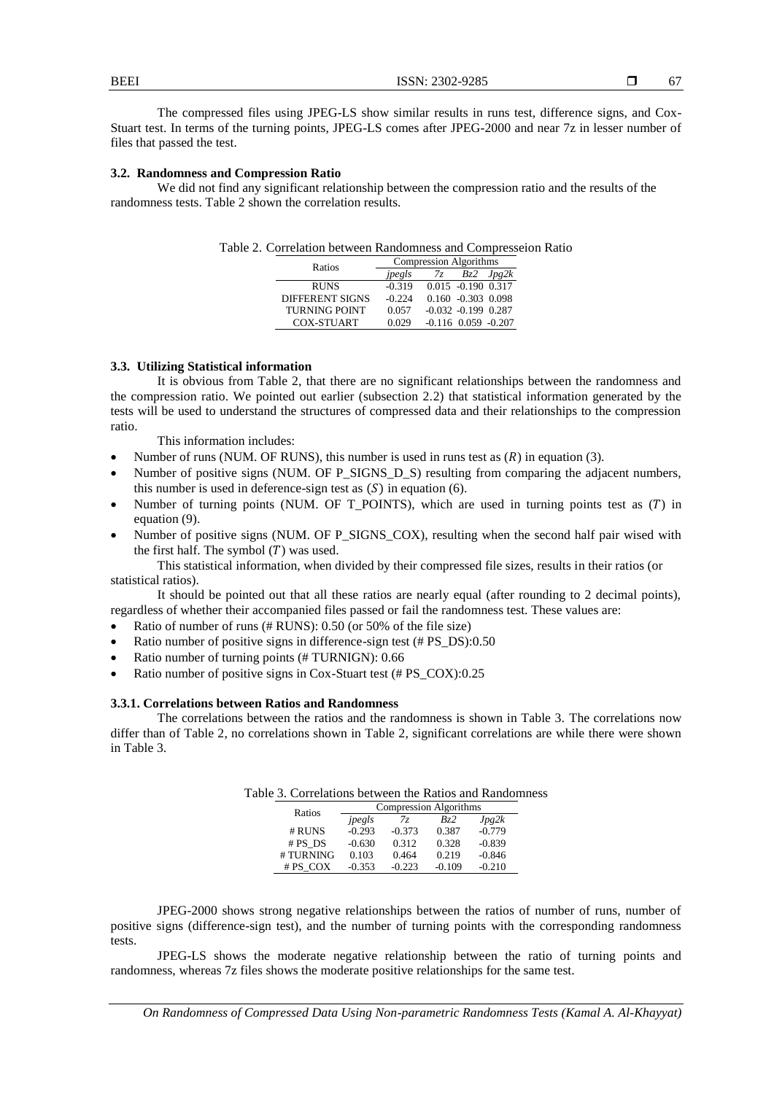| BEEI   |   |        | 2302-9285<br>$\mathbf{r} \cap \mathbf{r}$ |        |       | --<br>v, |
|--------|---|--------|-------------------------------------------|--------|-------|----------|
| $\sim$ | . | ______ | .                                         | $\sim$ | ----- | - -      |

The compressed files using JPEG-LS show similar results in runs test, difference signs, and Cox-Stuart test. In terms of the turning points, JPEG-LS comes after JPEG-2000 and near 7z in lesser number of files that passed the test.

# **3.2. Randomness and Compression Ratio**

We did not find any significant relationship between the compression ratio and the results of the randomness tests. Table 2 shown the correlation results.

| Table 2. Correlation between Randomness and Compresseion Ratio |  |  |
|----------------------------------------------------------------|--|--|
|----------------------------------------------------------------|--|--|

| Ratios                 | Compression Algorithms |    |                           |       |
|------------------------|------------------------|----|---------------------------|-------|
|                        | jpegls                 | 7z | Bz2                       | Jpg2k |
| <b>RUNS</b>            | $-0.319$               |    | $0.015 - 0.190 0.317$     |       |
| <b>DIFFERENT SIGNS</b> | $-0.224$               |    | $0.160 - 0.303 0.098$     |       |
| <b>TURNING POINT</b>   | 0.057                  |    | $-0.032 - 0.199$ 0.287    |       |
| <b>COX-STUART</b>      | 0.029                  |    | $-0.116$ $0.059$ $-0.207$ |       |

# **3.3. Utilizing Statistical information**

It is obvious from Table 2, that there are no significant relationships between the randomness and the compression ratio. We pointed out earlier (subsection 2.2) that statistical information generated by the tests will be used to understand the structures of compressed data and their relationships to the compression ratio.

This information includes:

- Number of runs (NUM. OF RUNS), this number is used in runs test as  $(R)$  in equation (3).
- Number of positive signs (NUM. OF P\_SIGNS\_D\_S) resulting from comparing the adjacent numbers, this number is used in deference-sign test as  $(S)$  in equation  $(6)$ .
- Number of turning points (NUM. OF  $T_P$ OINTS), which are used in turning points test as  $(T)$  in equation (9).
- Number of positive signs (NUM. OF P\_SIGNS\_COX), resulting when the second half pair wised with the first half. The symbol  $(T)$  was used.

This statistical information, when divided by their compressed file sizes, results in their ratios (or statistical ratios).

It should be pointed out that all these ratios are nearly equal (after rounding to 2 decimal points), regardless of whether their accompanied files passed or fail the randomness test. These values are:

- Ratio of number of runs (# RUNS): 0.50 (or 50% of the file size)
- Ratio number of positive signs in difference-sign test (# PS\_DS):0.50
- Ratio number of turning points (# TURNIGN): 0.66
- Ratio number of positive signs in Cox-Stuart test (# PS\_COX):0.25

# **3.3.1. Correlations between Ratios and Randomness**

The correlations between the ratios and the randomness is shown in Table 3. The correlations now differ than of Table 2, no correlations shown in Table 2, significant correlations are while there were shown in Table 3.

|           |          | Compression Algorithms |          |          |
|-----------|----------|------------------------|----------|----------|
| Ratios    | jpegls   | 77                     | Bz2      | Jpg2k    |
| # RUNS    | $-0.293$ | $-0.373$               | 0.387    | $-0.779$ |
| $# PS$ DS | $-0.630$ | 0.312                  | 0.328    | $-0.839$ |
| #TURNING  | 0.103    | 0.464                  | 0.219    | $-0.846$ |
| #PS COX   | $-0.353$ | $-0.223$               | $-0.109$ | $-0.210$ |

| Table 3. Correlations between the Ratios and Randomness |  |
|---------------------------------------------------------|--|
|---------------------------------------------------------|--|

JPEG-2000 shows strong negative relationships between the ratios of number of runs, number of positive signs (difference-sign test), and the number of turning points with the corresponding randomness tests.

JPEG-LS shows the moderate negative relationship between the ratio of turning points and randomness, whereas 7z files shows the moderate positive relationships for the same test.

*On Randomness of Compressed Data Using Non-parametric Randomness Tests (Kamal A. Al-Khayyat)*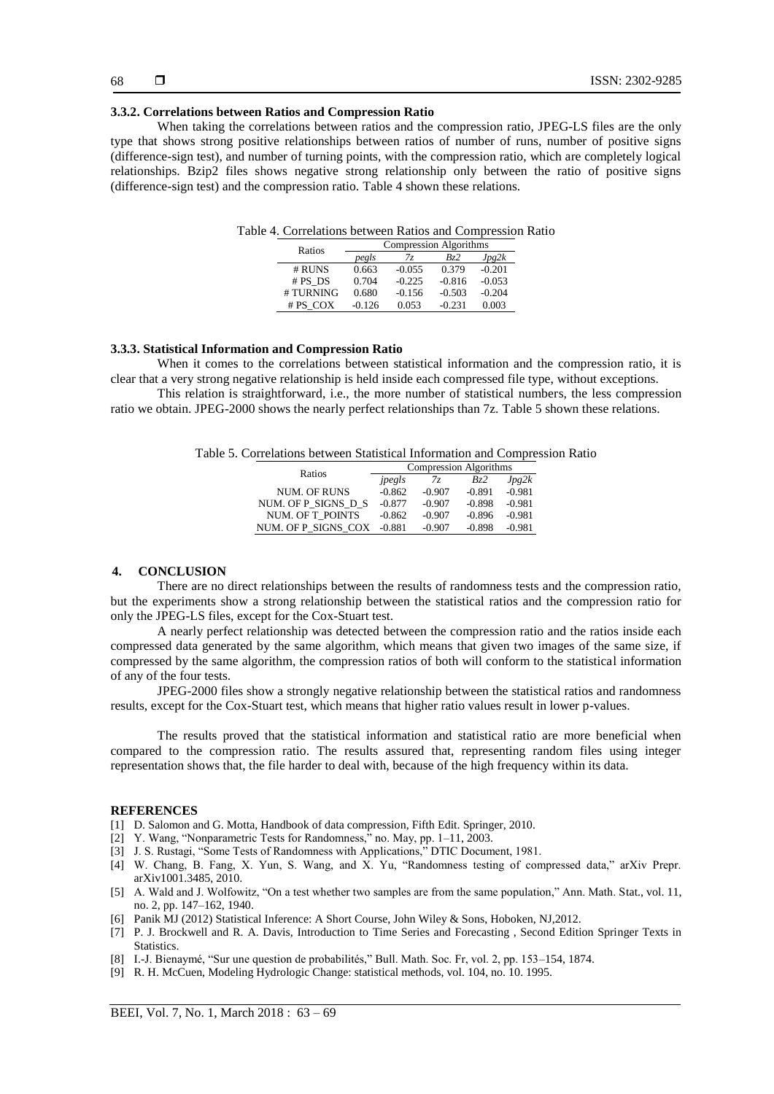# **3.3.2. Correlations between Ratios and Compression Ratio**

When taking the correlations between ratios and the compression ratio, JPEG-LS files are the only type that shows strong positive relationships between ratios of number of runs, number of positive signs (difference-sign test), and number of turning points, with the compression ratio, which are completely logical relationships. Bzip2 files shows negative strong relationship only between the ratio of positive signs (difference-sign test) and the compression ratio. Table 4 shown these relations.

| Ratios |          | Compression Algorithms |          |          |          |  |
|--------|----------|------------------------|----------|----------|----------|--|
|        |          | pegls                  | 7z       | Bz2      | Jpg2k    |  |
|        | # RUNS   | 0.663                  | $-0.055$ | 0.379    | $-0.201$ |  |
|        | # PS DS  | 0.704                  | $-0.225$ | $-0.816$ | $-0.053$ |  |
|        | #TURNING | 0.680                  | $-0.156$ | $-0.503$ | $-0.204$ |  |
|        | # PS COX | $-0.126$               | 0.053    | $-0.231$ | 0.003    |  |

#### **3.3.3. Statistical Information and Compression Ratio**

When it comes to the correlations between statistical information and the compression ratio, it is clear that a very strong negative relationship is held inside each compressed file type, without exceptions.

This relation is straightforward, i.e., the more number of statistical numbers, the less compression ratio we obtain. JPEG-2000 shows the nearly perfect relationships than 7z. Table 5 shown these relations.

| Table 5. Correlations between Statistical Information and Compression Ratio |  |  |  |  |  |
|-----------------------------------------------------------------------------|--|--|--|--|--|
|-----------------------------------------------------------------------------|--|--|--|--|--|

| Ratios              | Compression Algorithms |          |          |          |  |
|---------------------|------------------------|----------|----------|----------|--|
|                     | jpegls                 | 77       | Bz2      | Jpg2k    |  |
| <b>NUM. OF RUNS</b> | $-0.862$               | $-0.907$ | $-0.891$ | $-0.981$ |  |
| NUM. OF P SIGNS D S | $-0.877$               | $-0.907$ | $-0.898$ | $-0.981$ |  |
| NUM. OF T POINTS    | $-0.862$               | $-0.907$ | $-0.896$ | $-0.981$ |  |
| NUM. OF P SIGNS COX | $-0.881$               | $-0.907$ | $-0.898$ | $-0.981$ |  |

#### **4. CONCLUSION**

There are no direct relationships between the results of randomness tests and the compression ratio, but the experiments show a strong relationship between the statistical ratios and the compression ratio for only the JPEG-LS files, except for the Cox-Stuart test.

A nearly perfect relationship was detected between the compression ratio and the ratios inside each compressed data generated by the same algorithm, which means that given two images of the same size, if compressed by the same algorithm, the compression ratios of both will conform to the statistical information of any of the four tests.

JPEG-2000 files show a strongly negative relationship between the statistical ratios and randomness results, except for the Cox-Stuart test, which means that higher ratio values result in lower p-values.

The results proved that the statistical information and statistical ratio are more beneficial when compared to the compression ratio. The results assured that, representing random files using integer representation shows that, the file harder to deal with, because of the high frequency within its data.

#### **REFERENCES**

- [1] D. Salomon and G. Motta, Handbook of data compression, Fifth Edit. Springer, 2010.
- [2] Y. Wang, "Nonparametric Tests for Randomness," no. May, pp. 1–11, 2003.
- [3] J. S. Rustagi, "Some Tests of Randomness with Applications," DTIC Document, 1981.
- [4] W. Chang, B. Fang, X. Yun, S. Wang, and X. Yu, "Randomness testing of compressed data," arXiv Prepr. arXiv1001.3485, 2010.
- [5] A. Wald and J. Wolfowitz, "On a test whether two samples are from the same population," Ann. Math. Stat., vol. 11, no. 2, pp. 147–162, 1940.
- [6] Panik MJ (2012) Statistical Inference: A Short Course, John Wiley & Sons, Hoboken, NJ,2012.
- [7] P. J. Brockwell and R. A. Davis, Introduction to Time Series and Forecasting , Second Edition Springer Texts in Statistics.
- [8] I.-J. Bienaymé, "Sur une question de probabilités," Bull. Math. Soc. Fr, vol. 2, pp. 153–154, 1874.
- [9] R. H. McCuen, Modeling Hydrologic Change: statistical methods, vol. 104, no. 10. 1995.